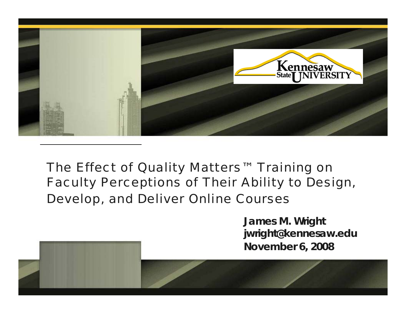

#### *The Effect of Quality Matters™ Training on Faculty Perceptions of Their Ability to Design, Develop, and Deliver Online Courses*

**James M. Wright jwright@kennesaw.edu November 6, 2008**

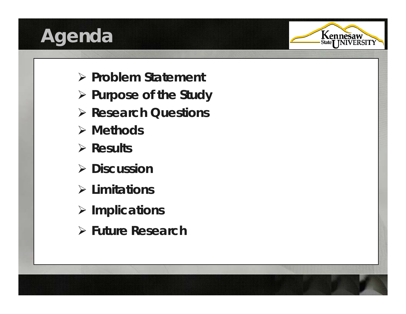# **Agenda**



- ¾ **Problem Statement**
- ¾ **Purpose of the Study**
- ¾ **Research Questions**
- ¾ **Methods**
- ¾ **Results**
- ¾ **Discussion**
- ¾ **Limitations**
- ¾ **Implications**
- ¾ **Future Research**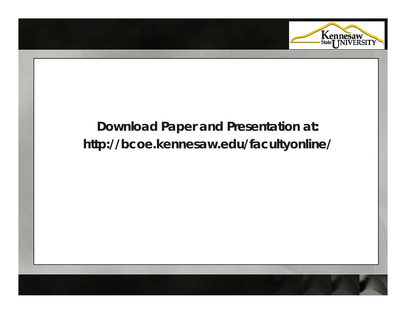

#### **Download Paper and Presentation at: http://bcoe.kennesaw.edu/facultyonline/**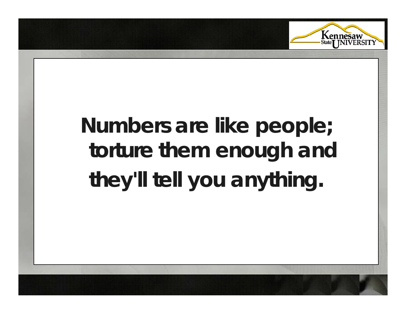

### **Numbers are like people; torture them enough and they'll tell you anything .**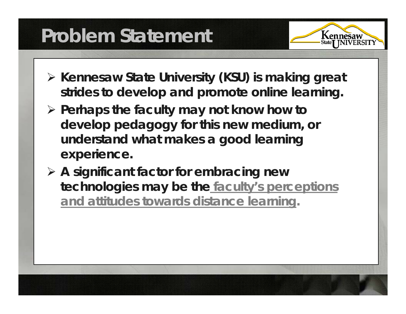# **Problem Statement**

- ¾ **Kennesaw State University (KSU) is making great**  strides to develop and promote online learning.
- ¾ **Perhaps the faculty may not know how to develop pedagogy for this new medium, or**  understand what makes a good learning **experience.**
- ¾ **A si g g nificant factor for embracin g new technologies may be the faculty's perceptions and attitudes towards distance learning.**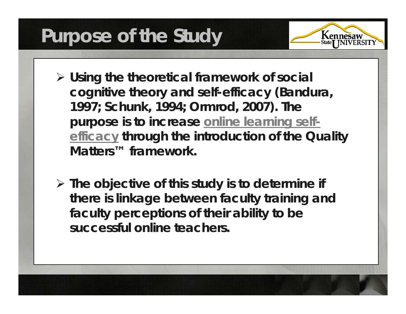# **Purpose of the Study**

- ¾ **Using the theoretical framework of social co g y nitive theory and self-efficac y( , Bandura, 1997; Schunk, 1994; Ormrod, 2007). The purpose is to increase online learning selfefficacy through the introduction of the Quality Matters™ framework.**
- ¾ **The objective of this study is to determine if there is linkage between faculty training and faculty perceptions of their ability to be successful online teachers.**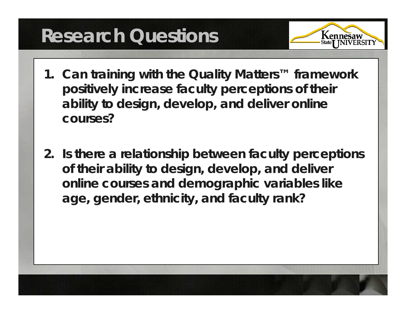# **Research Questions**

- **1. Can training with the Quality Matters™ framework positively increase faculty perceptions of their ability to design, develop, and deliver online courses?**
- **2. Is there a relationship between faculty perceptions of their ability to design, develop, and deliver online courses and demographic variables like age, gender, ethnicity, and faculty rank?**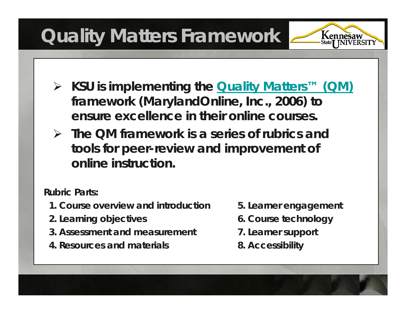# **Quality Matters Framework**



- ¾ **KSU is implementing the Quality Matters™ (QM) k framework (MarylandOnline, Inc., 2006) to ensure excellence in their online courses.**
- ¾ **The QM framework is a series of rubrics and tools for peer-review and improvement of online instruction.**

**Rubric Parts:**

- **1. Course overview and introduction**
- **2 L i bj ti 2. Learning**
- **3. Assessment and measurement**
- **4. Resources and materials**
- **5. Learner engagement**
- **objectives 6 C t h l 6. Course tec hnology**
	- **7. Learner support**
	- **8. Accessibility**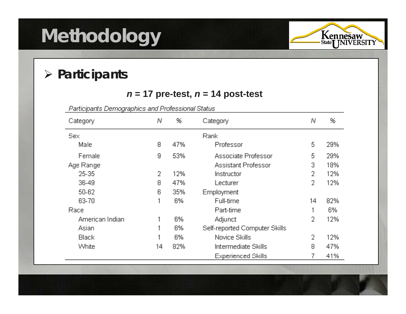# **Methodology**



%

29%

29%

18%

12%

12%

82%

6%

12%

12%

47%

41%

7

#### ¾ *Participants*

#### *n* **= 17 pre-test,** *<sup>n</sup>***= 14 post-test**

Participants Demographics and Professional Status 96 Ν Category N Category Sex Rank Male 8 47% Professor 5 Female 53% Associate Professor 9 5. Assistant Professor 3 Age Range 25-35 12%  $\overline{2}$ 2 Instructor 36-49 47% 2 8 Lecturer 50-62 35% Employment 6 63-70 6% Full-time 14 1 Race Part-time 1 American Indian 6% Adjunct 2 1 Self-reported Computer Skills Asian 6% 1 Black 6% Novice Skills 2 1 82% Intermediate Skills White 14 8

**Experienced Skills**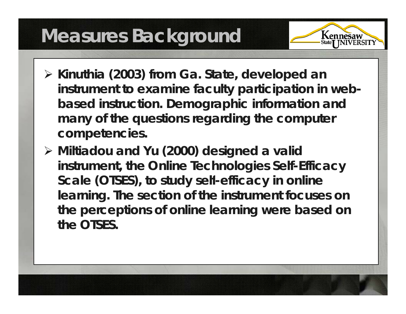# **Measures Background**

- ¾ **Kinuthia (2003) from Ga. State, developed an instrument to examine faculty participation in webbased instruction. Demographic information and many of the questions regarding the computer competencies.**
- ¾ **Miltiadou and Yu (2000) designed a valid instrument, the Online Technologies Self-Efficacy**  Scale (OTSES), to study self-efficacy in online **learning. The section of the instrument focuses on the perceptions of online learning were based on the OTSES.**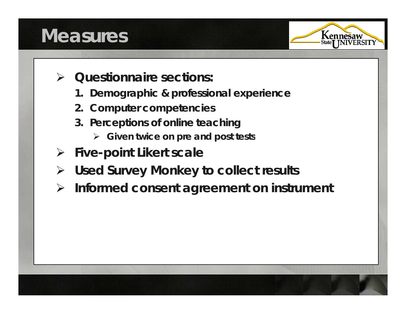## **Measures**



- $\blacktriangleright$  *Questionnaire sections:*
	- **1. Demographic & professional experience**
	- **2. Computer competencies**
	- **3. Perceptions of online teaching**
		- ¾ **Given twice on pre and post tests**
- ¾ **Five-point Likert scale**
- ¾ **Used Survey y Monke to collect results**
- $\blacktriangleright$ **Informed consent agreement on instrument**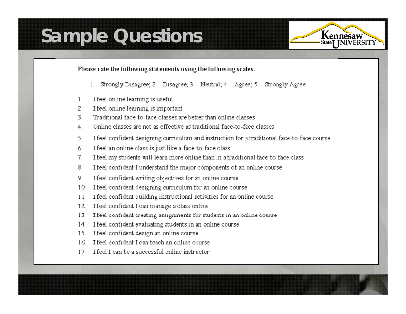### **Sample Questions**



Please rate the following statements using the following scales:

 $1 =$  Strongly Disagree;  $2 =$  Disagree;  $3 =$  Neutral;  $4 =$  Agree;  $5 =$  Strongly Agree

- I feel online learning is useful  $\mathbf{1}$
- $2.$ I feel online learning is important
- Traditional face-to-face classes are better than online classes.  $\overline{3}$
- Online classes are not as effective as traditional face-to-face classes. 4
- I feel confident designing curriculum and instruction for a traditional face-to-face course 5.
- I feel an online class is just like a face-to-face class б.
- I feel my students will learn more online than in a traditional face-to-face class 7.
- I feel confident I understand the major components of an online course 8.
- I feel confident writing objectives for an online course 9.
- I feel confident designing curriculum for an online course  $10<sup>°</sup>$
- 11. I feel confident building instructional activities for an online course
- 12. I feel confident I can manage a class online
- 13. I feel confident creating assignments for students in an online course
- 14. I feel confident evaluating students in an online course
- 15. I feel confident design an online course
- 16. I feel confident I can teach an online course
- 17. I feel I can be a successful online instructor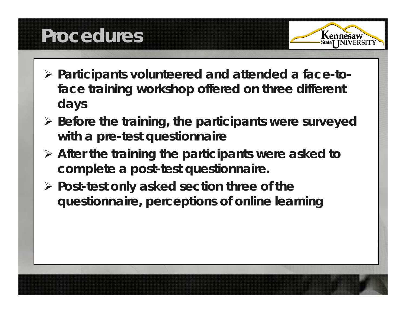# **Procedures**



- ¾ **Participants volunteered and attended a face-toface training workshop offered on three different days**
- ¾ **Before the training, the participants were surveyed with a pre-test questionnaire**
- ¾ **After the training the participants were asked to complete a post-test questionnaire.**
- ¾ **Post-test only asked section three of the questionnaire, perceptions of online learning**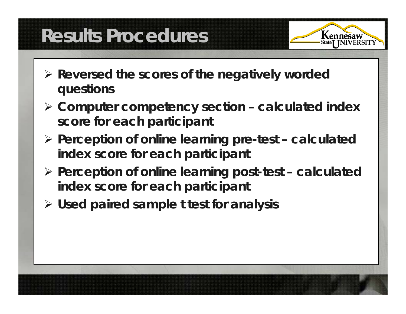# **Results Procedures**

- ¾ **Reversed the scores of the negatively worded questions**
- ¾ **Computer competency section – calculated index score for each participant**
- $\triangleright$  Perception of online learning pre-test calculated **index score for each participant**
- ¾ **Perce p gp tion of online learnin g post-test – calculated index score for each participant**
- ¾ **Used paired sample**  *t* **test for analysis**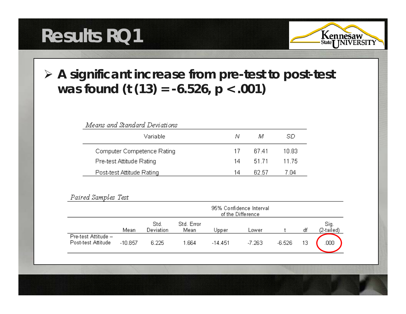# **Results RQ1**



#### ¾ **A significant increase from pre-test to post-test was found (***t* **(13) = -6.526, p < .001)**

| Means and Standard Deviations |    |        |        |  |  |  |  |
|-------------------------------|----|--------|--------|--|--|--|--|
| Variable                      | N  | M      | SD     |  |  |  |  |
| Computer Competence Rating    | 17 | .R7 41 | 10 83. |  |  |  |  |
| Pre-test Attitude Rating      | 14 | 51.71  | 11 75  |  |  |  |  |
| Post-test Attitude Rating     | 14 | 62.57  | 7 N.A  |  |  |  |  |

|                                           | 95% Confidence Interval<br>of the Difference |                   |                    |           |        |          |    |                    |
|-------------------------------------------|----------------------------------------------|-------------------|--------------------|-----------|--------|----------|----|--------------------|
|                                           | Mean                                         | Std.<br>Deviation | Std. Error<br>Mean | Jpper     | Lower  |          | df | Sig.<br>(2-tailed) |
| Pre-test Attitude -<br>Post-test Attitude | $-10.857$                                    | 6.225             | 1.664              | $-14.451$ | -7.263 | $-6.526$ | 13 | ,000               |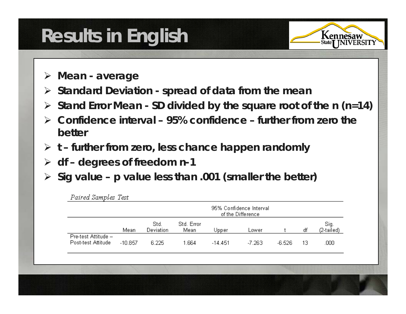# **Results in English**

¾ **Mean - average**

n 10 1 m

- ¾ **Standard Deviation - spread of data from the mean**
- ¾ **Stand Error Mean - SD divided by the square root of the** *n (n=14)*
- ¾ **Confidence interval – 95% confidence – further from zero the better**
- ¾ *t* **– further from zero, less chance happen randomly**
- ¾ **df – degrees of freedom**  *n***-1**
- ¾ **Sig value**  *p* **value less than .001 (smaller the better)**

|                                           | 95% Confidence Interval<br>of the Difference |                   |                    |           |          |          |    |                    |
|-------------------------------------------|----------------------------------------------|-------------------|--------------------|-----------|----------|----------|----|--------------------|
|                                           | Mean                                         | Std.<br>Deviation | Std. Error<br>Mean | Upper     | Lower    |          | df | Sig.<br>(2-tailed) |
| Pre-test Attitude -<br>Post-test Attitude | $-10.857$                                    | 6.225             | 1.664              | $-14.451$ | $-7.263$ | $-6.526$ | 13 | .000               |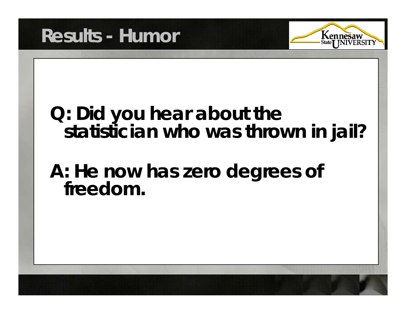



### **Q: Did you hear about the statistician who was thrown in jail?**

# **A: He now has zero degrees of freedom.**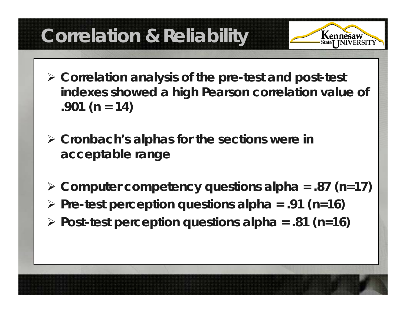# **Correlation & Reliability**

- ¾ **Correlation analysis of the pre-test and post-test indexes showed a hi gh Pearson correlation value of .901 (***n* **= 14)**
- $\triangleright$  Cronbach's alphas for the sections were in **acceptable range**
- ¾ **Computer competency questions alpha = .87 (** *<sup>n</sup>***=17)** ¾ **Pre-test perception questions alpha = .91 (** *<sup>n</sup>***=16)** ¾ **Post-test perception questions alpha = .81 (** *n***=16)**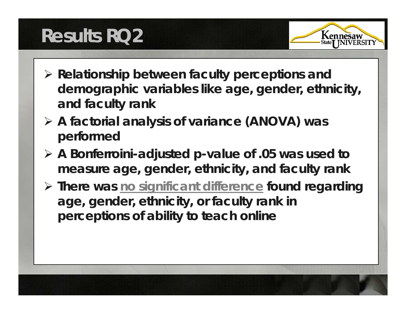# **Results RQ2**



- ¾ **Relationship between faculty perceptions and demographic variables like age, gender, ethnicity, and faculty rank**
- ¾ **A factorial analysis of variance (ANOVA) was performed**
- ¾ **A Bonferroini-adjusted** *p***-value of .05 was used to measure age, gender, ethnicity, and faculty rank**
- ¾ **There was no significant difference found regarding age, gender, ethnicity, or faculty rank in perceptions of ability to teach online**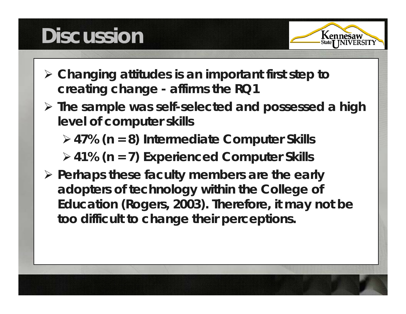# **Discussion**



- ¾ **Changing attitudes is an important first step to creating change - affirms the RQ1**
- ¾ **The sample was self-selected and possessed a high level of computer skills**
	- ¾**47% (***n* **= 8) Intermediate Computer Skills**

¾**41% (***n* **= 7) Experienced Computer Skills**

¾ **Perhaps these faculty members are the early adopters of technology within the College of Education (Rogers, 2003). Therefore, it may not be t diffi lt t h th i ti too difficult to change their perceptions.**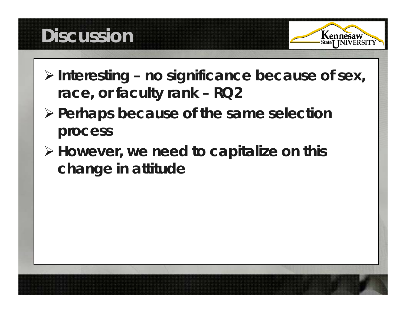# **Discussion**



- ¾ **Interesting – no significance because of sex, race, or faculty rank – RQ2**
- ¾ **Perhaps because of the same selection process**
- ¾ **However, we need to capitalize on this change in attitude**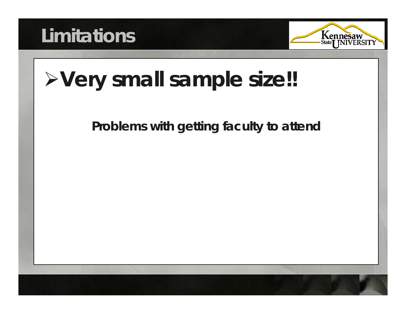



# ¾**Very small sample size!!**

#### **Problems with getting faculty to attend**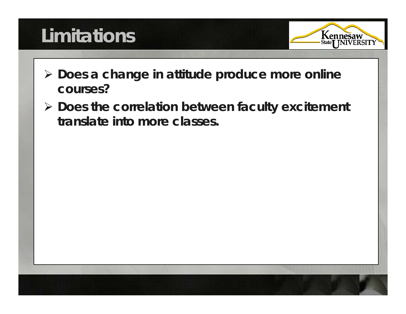# **Limitations**

- 
- ¾ **Does a change in attitude produce more online courses?**
- ¾ **Does the correlation between faculty excitement translate into more classes.**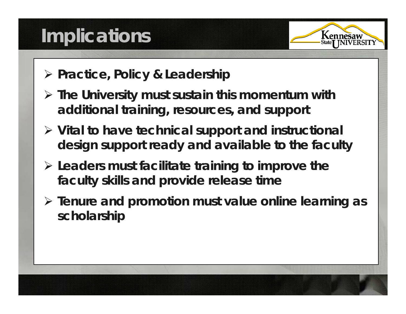# **Implications**



- ¾ **Practice, Policy & Leadership**
- ¾ **The University must sustain this momentum with additional training, resources, and support**
- ¾ **Vital to have technical support and instructional design support ready and available to the faculty**
- ¾ **Leaders must facilitate training to improve the faculty skills and provide release time**
- ¾ **Tenure and promotion must value online learning as scholarship**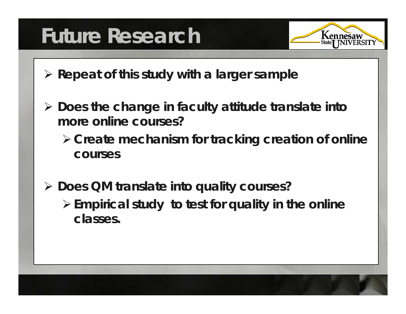# **Future Research**



- ¾ **Repeat of this study with a larger sample**
- ¾ **Does the change in faculty attitude translate into more online courses?** 
	- ¾**Create mechanism for tracking creation of online courses**
- ¾ **Does QM translate into quality courses?**  ¾**Empirical study to test for quality in the online cl asses.**